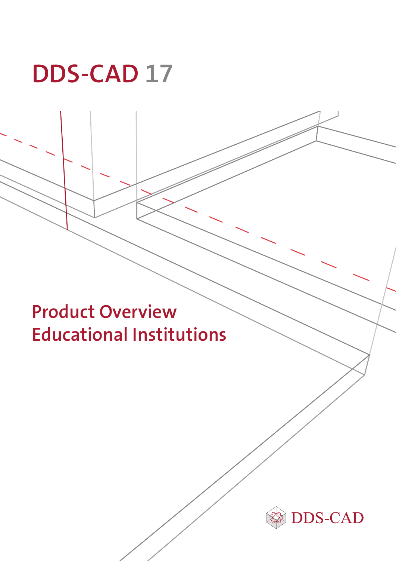

# **Product Overview Educational Institutions**

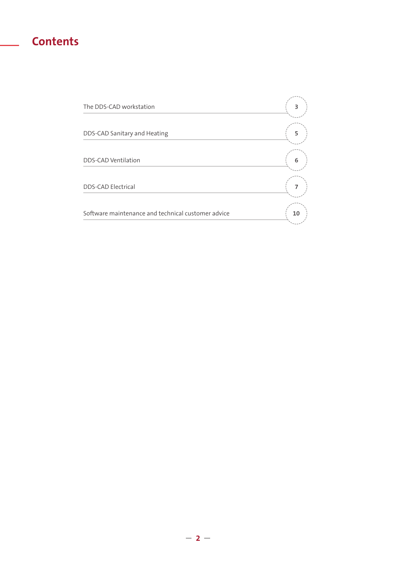# **Contents**

| The DDS-CAD workstation                            |    |
|----------------------------------------------------|----|
| DDS-CAD Sanitary and Heating                       |    |
| DDS-CAD Ventilation                                |    |
| <b>DDS-CAD Electrical</b>                          |    |
| Software maintenance and technical customer advice | 10 |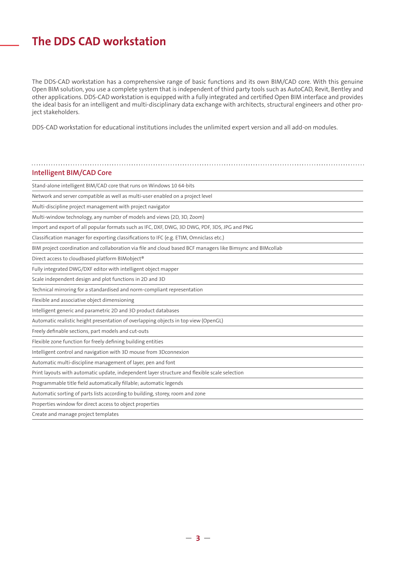## **The DDS CAD workstation**

The DDS-CAD workstation has a comprehensive range of basic functions and its own BIM/CAD core. With this genuine Open BIM solution, you use a complete system that is independent of third party tools such as AutoCAD, Revit, Bentley and other applications. DDS-CAD workstation is equipped with a fully integrated and certified Open BIM interface and provides the ideal basis for an intelligent and multi-disciplinary data exchange with architects, structural engineers and other project stakeholders.

DDS-CAD workstation for educational institutions includes the unlimited expert version and all add-on modules.

| <b>Intelligent BIM/CAD Core</b> |  |  |
|---------------------------------|--|--|
|                                 |  |  |

Stand-alone intelligent BIM/CAD core that runs on Windows 10 64-bits

Network and server compatible as well as multi-user enabled on a project level

Multi-discipline project management with project navigator

Multi-window technology, any number of models and views (2D, 3D, Zoom)

Import and export of all popular formats such as IFC, DXF, DWG, 3D DWG, PDF, 3DS, JPG and PNG

Classification manager for exporting classifications to IFC (e.g. ETIM, Omniclass etc.)

BIM project coordination and collaboration via file and cloud based BCF managers like Bimsync and BIMcollab

Direct access to cloudbased platform BIMobject®

Fully integrated DWG/DXF editor with intelligent object mapper

Scale independent design and plot functions in 2D and 3D

Technical mirroring for a standardised and norm-compliant representation

Flexible and associative object dimensioning

Intelligent generic and parametric 2D and 3D product databases

Automatic realistic height presentation of overlapping objects in top view (OpenGL)

Freely definable sections, part models and cut-outs

Flexible zone function for freely defining building entities

Intelligent control and navigation with 3D mouse from 3Dconnexion

Automatic multi-discipline management of layer, pen and font

Print layouts with automatic update, independent layer structure and flexible scale selection

Programmable title field automatically fillable; automatic legends

Automatic sorting of parts lists according to building, storey, room and zone

Properties window for direct access to object properties

Create and manage project templates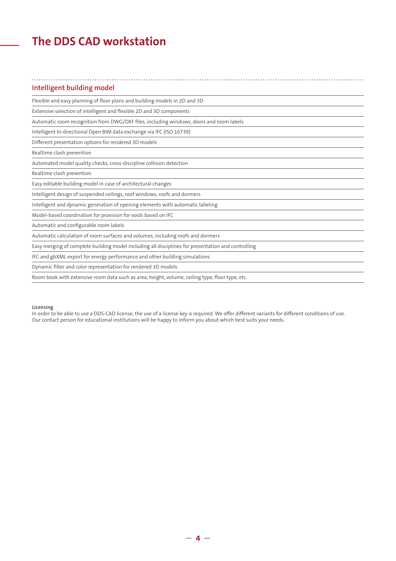# **The DDS CAD workstation**

| Intelligent building model                                                                         |
|----------------------------------------------------------------------------------------------------|
| Flexible and easy planning of floor plans and building models in 2D and 3D                         |
| Extensive selection of intelligent and flexible 2D and 3D components                               |
| Automatic room recognition from DWG/DXF files, including windows, doors and room labels            |
| Intelligent bi-directional Open BIM data exchange via IFC (ISO 16739)                              |
| Different presentation options for rendered 3D models                                              |
| Realtime clash prevention                                                                          |
| Automated model quality checks, cross-discipline collision detection                               |
| Realtime clash prevention                                                                          |
| Easy editable building model in case of architectural changes                                      |
| Intelligent design of suspended ceilings, roof windows, roofs and dormers                          |
| Intelligent and dynamic generation of opening elements with automatic labeling                     |
| Model-based coordination for provision for voids based on IFC                                      |
| Automatic and configurable room labels                                                             |
| Automatic calculation of room surfaces and volumes, including roofs and dormers                    |
| Easy merging of complete building model including all disciplines for presentation and controlling |
| IFC and gbXML export for energy performance and other building simulations                         |
| Dynamic filter and color representation for rendered 3D models                                     |
| Room book with extensive room data such as area, height, volume, ceiling type, floor type, etc.    |

#### **Licensing**

In order to be able to use a DDS-CAD license, the use of a license key is required. We offer different variants for different conditions of use. Our contact person for educational institutions will be happy to inform you about which best suits your needs.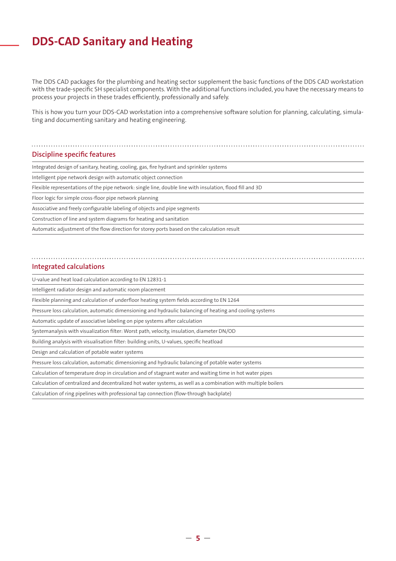# **DDS-CAD Sanitary and Heating**

The DDS CAD packages for the plumbing and heating sector supplement the basic functions of the DDS CAD workstation with the trade-specific SH specialist components. With the additional functions included, you have the necessary means to process your projects in these trades efficiently, professionally and safely.

This is how you turn your DDS-CAD workstation into a comprehensive software solution for planning, calculating, simulating and documenting sanitary and heating engineering.

#### **Discipline specific features**

Integrated design of sanitary, heating, cooling, gas, fire hydrant and sprinkler systems

Intelligent pipe network design with automatic object connection

Flexible representations of the pipe network: single line, double line with insulation, flood fill and 3D

Floor logic for simple cross-floor pipe network planning

Associative and freely configurable labeling of objects and pipe segments

Construction of line and system diagrams for heating and sanitation

Automatic adjustment of the flow direction for storey ports based on the calculation result

#### **Integrated calculations**

U-value and heat load calculation according to EN 12831-1

Intelligent radiator design and automatic room placement

Flexible planning and calculation of underfloor heating system fields according to EN 1264

Pressure loss calculation, automatic dimensioning and hydraulic balancing of heating and cooling systems

Automatic update of associative labeling on pipe systems after calculation

Systemanalysis with visualization filter: Worst path, velocity, insulation, diameter DN/OD

Building analysis with visualisation filter: building units, U-values, specific heatload

Design and calculation of potable water systems

Pressure loss calculation, automatic dimensioning and hydraulic balancing of potable water systems

Calculation of temperature drop in circulation and of stagnant water and waiting time in hot water pipes

Calculation of centralized and decentralized hot water systems, as well as a combination with multiple boilers

Calculation of ring pipelines with professional tap connection (flow-through backplate)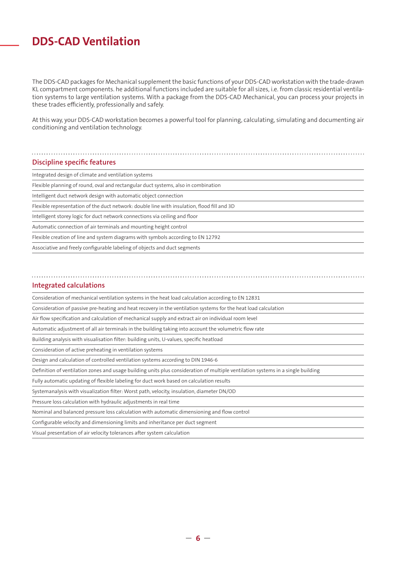### **DDS-CAD Ventilation**

The DDS-CAD packages for Mechanical supplement the basic functions of your DDS-CAD workstation with the trade-drawn KL compartment components. he additional functions included are suitable for all sizes, i.e. from classic residential ventilation systems to large ventilation systems. With a package from the DDS-CAD Mechanical, you can process your projects in these trades efficiently, professionally and safely.

At this way, your DDS-CAD workstation becomes a powerful tool for planning, calculating, simulating and documenting air conditioning and ventilation technology.

|  |  | <b>Discipline specific features</b> |
|--|--|-------------------------------------|
|  |  |                                     |

| Integrated design of climate and ventilation systems                                        |
|---------------------------------------------------------------------------------------------|
| Flexible planning of round, oval and rectangular duct systems, also in combination          |
| Intelligent duct network design with automatic object connection                            |
| Flexible representation of the duct network: double line with insulation, flood fill and 3D |
| Intelligent storey logic for duct network connections via ceiling and floor                 |
| Automatic connection of air terminals and mounting height control                           |
| Flexible creation of line and system diagrams with symbols according to EN 12792            |
| Associative and freely configurable labeling of objects and duct segments                   |

#### **Integrated calculations**

Consideration of mechanical ventilation systems in the heat load calculation according to EN 12831

Consideration of passive pre-heating and heat recovery in the ventilation systems for the heat load calculation

Air flow specification and calculation of mechanical supply and extract air on individual room level

Automatic adjustment of all air terminals in the building taking into account the volumetric flow rate

Building analysis with visualisation filter: building units, U-values, specific heatload

Consideration of active preheating in ventilation systems

Design and calculation of controlled ventilation systems according to DIN 1946-6

Definition of ventilation zones and usage building units plus consideration of multiple ventilation systems in a single building

Fully automatic updating of flexible labeling for duct work based on calculation results

Systemanalysis with visualization filter: Worst path, velocity, insulation, diameter DN/OD

Pressure loss calculation with hydraulic adjustments in real time

Nominal and balanced pressure loss calculation with automatic dimensioning and flow control

Configurable velocity and dimensioning limits and inheritance per duct segment

Visual presentation of air velocity tolerances after system calculation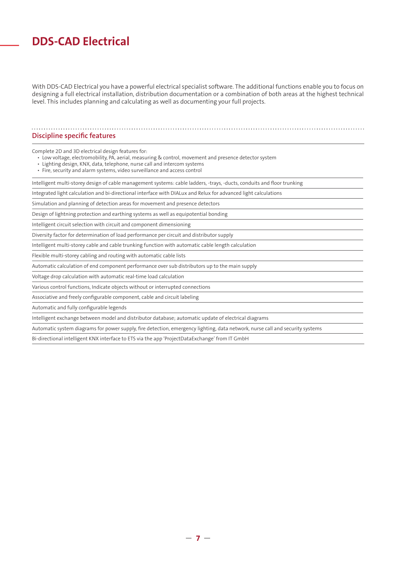## **DDS-CAD Electrical**

With DDS-CAD Electrical you have a powerful electrical specialist software. The additional functions enable you to focus on designing a full electrical installation, distribution documentation or a combination of both areas at the highest technical level. This includes planning and calculating as well as documenting your full projects.

#### **Discipline specific features**

Complete 2D and 3D electrical design features for:

- Low voltage, electromobility, PA, aerial, measuring & control, movement and presence detector system
- Lighting design, KNX, data, telephone, nurse call and intercom systems
- Fire, security and alarm systems, video surveillance and access control

Intelligent multi-storey design of cable management systems: cable ladders, -trays, -ducts, conduits and floor trunking

Integrated light calculation and bi-directional interface with DIALux and Relux for advanced light calculations

Simulation and planning of detection areas for movement and presence detectors

Design of lightning protection and earthing systems as well as equipotential bonding

Intelligent circuit selection with circuit and component dimensioning

Diversity factor for determination of load performance per circuit and distributor supply

Intelligent multi-storey cable and cable trunking function with automatic cable length calculation

Flexible multi-storey cabling and routing with automatic cable lists

Automatic calculation of end component performance over sub distributors up to the main supply

Voltage drop calculation with automatic real-time load calculation

Various control functions, Indicate objects without or interrupted connections

Associative and freely configurable component, cable and circuit labeling

Automatic and fully configurable legends

Intelligent exchange between model and distributor database; automatic update of electrical diagrams

Automatic system diagrams for power supply, fire detection, emergency lighting, data network, nurse call and security systems

Bi-directional intelligent KNX interface to ETS via the app 'ProjectDataExchange' from IT GmbH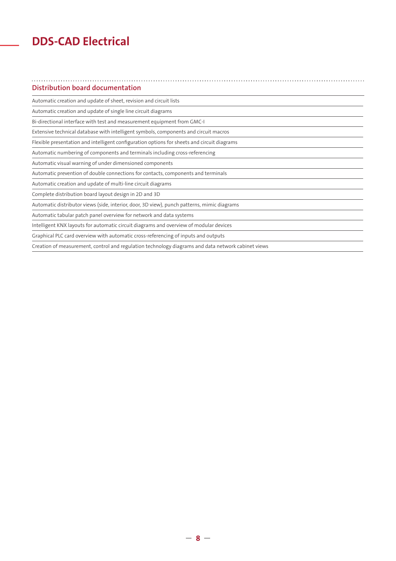# **DDS-CAD Electrical**

| <b>Distribution board documentation</b>                                                            |
|----------------------------------------------------------------------------------------------------|
| Automatic creation and update of sheet, revision and circuit lists                                 |
| Automatic creation and update of single line circuit diagrams                                      |
| Bi-directional interface with test and measurement equipment from GMC-I                            |
| Extensive technical database with intelligent symbols, components and circuit macros               |
| Flexible presentation and intelligent configuration options for sheets and circuit diagrams        |
| Automatic numbering of components and terminals including cross-referencing                        |
| Automatic visual warning of under dimensioned components                                           |
| Automatic prevention of double connections for contacts, components and terminals                  |
| Automatic creation and update of multi-line circuit diagrams                                       |
| Complete distribution board layout design in 2D and 3D                                             |
| Automatic distributor views (side, interior, door, 3D view), punch patterns, mimic diagrams        |
| Automatic tabular patch panel overview for network and data systems                                |
| Intelligent KNX layouts for automatic circuit diagrams and overview of modular devices             |
| Graphical PLC card overview with automatic cross-referencing of inputs and outputs                 |
| Creation of measurement, control and regulation technology diagrams and data network cabinet views |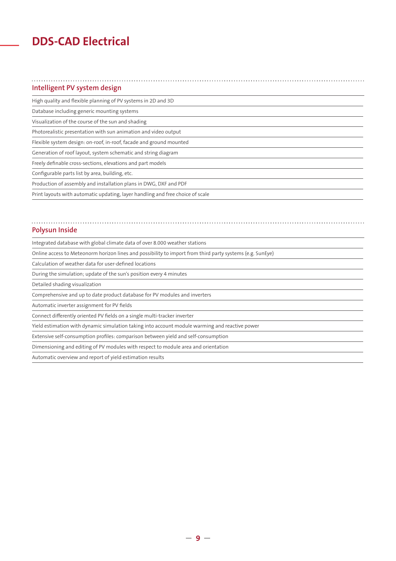## **DDS-CAD Electrical**

| Intelligent PV system design                                                 |
|------------------------------------------------------------------------------|
| High quality and flexible planning of PV systems in 2D and 3D                |
| Database including generic mounting systems                                  |
| Visualization of the course of the sun and shading                           |
| Photorealistic presentation with sun animation and video output              |
| Flexible system design: on-roof, in-roof, facade and ground mounted          |
| Generation of roof layout, system schematic and string diagram               |
| Freely definable cross-sections, elevations and part models                  |
| Configurable parts list by area, building, etc.                              |
| Production of assembly and installation plans in DWG, DXF and PDF            |
| Dript byoute with automatic undating lower bandling and free choice of scale |

Print layouts with automatic updating, layer handling and free choice of scale

#### **Polysun Inside**

Integrated database with global climate data of over 8.000 weather stations

Online access to Meteonorm horizon lines and possibility to import from third party systems (e.g. SunEye)

Calculation of weather data for user-defined locations

During the simulation; update of the sun's position every 4 minutes

Detailed shading visualization

Comprehensive and up to date product database for PV modules and inverters

Automatic inverter assignment for PV fields

Connect differently oriented PV fields on a single multi-tracker inverter

Yield estimation with dynamic simulation taking into account module warming and reactive power

Extensive self-consumption profiles: comparison between yield and self-consumption

Dimensioning and editing of PV modules with respect to module area and orientation

Automatic overview and report of yield estimation results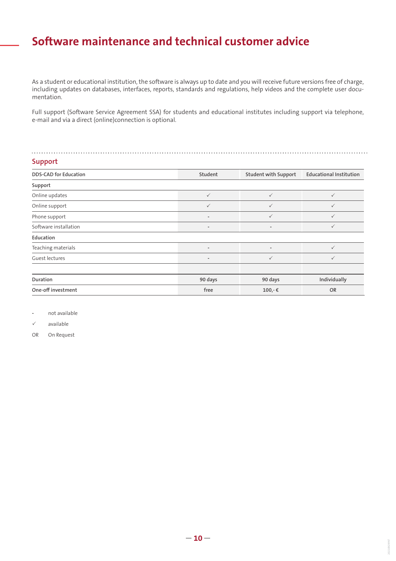# **Software maintenance and technical customer advice**

As a student or educational institution, the software is always up to date and you will receive future versions free of charge, including updates on databases, interfaces, reports, standards and regulations, help videos and the complete user documentation.

Full support (Software Service Agreement SSA) for students and educational institutes including support via telephone, e-mail and via a direct (online)connection is optional.

| <b>Support</b>               |                          |                          |                                |
|------------------------------|--------------------------|--------------------------|--------------------------------|
| <b>DDS-CAD for Education</b> | Student                  | Student with Support     | <b>Educational Institution</b> |
| Support                      |                          |                          |                                |
| Online updates               | $\checkmark$             | $\checkmark$             | $\checkmark$                   |
| Online support               | $\checkmark$             | $\checkmark$             | $\checkmark$                   |
| Phone support                | $\overline{\phantom{a}}$ | $\checkmark$             | $\checkmark$                   |
| Software installation        | $\overline{\phantom{a}}$ | $\overline{\phantom{a}}$ | $\checkmark$                   |
| Education                    |                          |                          |                                |
| Teaching materials           | $\overline{\phantom{a}}$ | $\overline{\phantom{a}}$ | $\checkmark$                   |
| Guest lectures               | $\overline{\phantom{a}}$ | $\checkmark$             | $\checkmark$                   |
|                              |                          |                          |                                |
| Duration                     | 90 days                  | 90 days                  | Individually                   |
| One-off investment           | free                     | $100,-€$                 | <b>OR</b>                      |

**-** not available

available

OR On Request

20210929INT